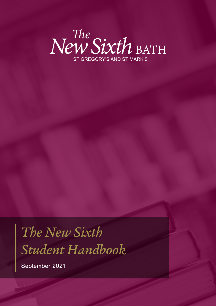

# *The New Sixth Student Handbook*

September 2021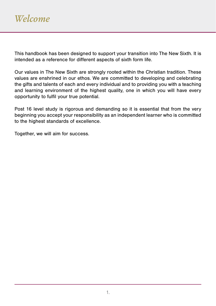This handbook has been designed to support your transition into The New Sixth. It is intended as a reference for different aspects of sixth form life.

Our values in The New Sixth are strongly rooted within the Christian tradition. These values are enshrined in our ethos. We are committed to developing and celebrating the gifts and talents of each and every individual and to providing you with a teaching and learning environment of the highest quality, one in which you will have every opportunity to fulfil your true potential.

Post 16 level study is rigorous and demanding so it is essential that from the very beginning you accept your responsibility as an independent learner who is committed to the highest standards of excellence.

Together, we will aim for success.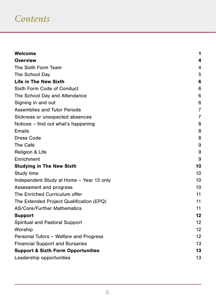### *Contents*

| Welcome                                       | 1              |
|-----------------------------------------------|----------------|
| <b>Overview</b>                               | 4              |
| The Sixth Form Team                           | 4              |
| The School Day                                | 5              |
| <b>Life in The New Sixth</b>                  | 6              |
| Sixth Form Code of Conduct                    | 6              |
| The School Day and Attendance                 | 6              |
| Signing in and out                            | 6              |
| Assemblies and Tutor Periods                  | 7              |
| Sickness or unexpected absences               | $\overline{7}$ |
| Notices – find out what's happening           | 8              |
| Emails                                        | 8              |
| <b>Dress Code</b>                             | 8              |
| The Café                                      | 9              |
| Religion & Life                               | 9              |
| Enrichment                                    | 9              |
| <b>Studying in The New Sixth</b>              | 10             |
| Study time                                    | 10             |
| Independent Study at Home - Year 13 only      | 10             |
| Assessment and progress                       | 10             |
| The Enriched Curriculum offer                 | 11             |
| The Extended Project Qualification (EPQ)      | 11             |
| <b>AS/Core/Further Mathematics</b>            | 11             |
| <b>Support</b>                                | 12             |
| Spiritual and Pastoral Support                | 12             |
| Worship                                       | 12             |
| Personal Tutors - Welfare and Progress        | 12             |
| <b>Financial Support and Bursaries</b>        | 13             |
| <b>Support &amp; Sixth Form Opportunities</b> | 13             |
| Leadership opportunities                      | 13             |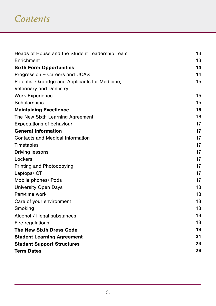### *Contents*

| Heads of House and the Student Leadership Team  | 13 |
|-------------------------------------------------|----|
| Enrichment                                      | 13 |
| <b>Sixth Form Opportunities</b>                 | 14 |
| Progression - Careers and UCAS                  | 14 |
| Potential Oxbridge and Applicants for Medicine, | 15 |
| <b>Veterinary and Dentistry</b>                 |    |
| <b>Work Experience</b>                          | 15 |
| Scholarships                                    | 15 |
| <b>Maintaining Excellence</b>                   | 16 |
| The New Sixth Learning Agreement                | 16 |
| <b>Expectations of behaviour</b>                | 17 |
| <b>General Information</b>                      | 17 |
| Contacts and Medical Information                | 17 |
| Timetables                                      | 17 |
| <b>Driving lessons</b>                          | 17 |
| Lockers                                         | 17 |
| Printing and Photocopying                       | 17 |
| Laptops/ICT                                     | 17 |
| Mobile phones/iPods                             | 17 |
| <b>University Open Days</b>                     | 18 |
| Part-time work                                  | 18 |
| Care of your environment                        | 18 |
| Smoking                                         | 18 |
| Alcohol / illegal substances                    | 18 |
| Fire regulations                                | 18 |
| <b>The New Sixth Dress Code</b>                 | 19 |
| <b>Student Learning Agreement</b>               | 21 |
| <b>Student Support Structures</b>               | 23 |
| <b>Term Dates</b>                               | 26 |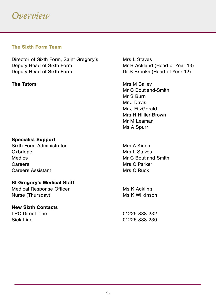#### **The Sixth Form Team**

Director of Sixth Form, Saint Gregory's Mrs L Staves Deputy Head of Sixth Form Mr B Ackland (Head of Year 13)<br>Deputy Head of Sixth Form Dr S Brooks (Head of Year 12)

#### **Specialist Support**

Sixth Form Administrator Mrs A Kinch Oxbridge Mrs L Staves Medics Medics Medics Medics Medics Medics Medics Medics Medics Medics Medics Medics Medics Medical Smith Careers Mrs C Parker Careers Assistant Mrs C Ruck

#### **St Gregory's Medical Staff**

Medical Response Officer Ms K Ackling Nurse (Thursday) Murse (Thursday) Ms K Wilkinson

#### **New Sixth Contacts**

Dr S Brooks (Head of Year 12)

**The Tutors** Mrs M Bailey Mr C Boutland-Smith Mr S Burn Mr J Davis Mr J FitzGerald Mrs H Hillier-Brown Mr M Leaman Ms A Spurr

LRC Direct Line 01225 838 232 Sick Line 01225 838 230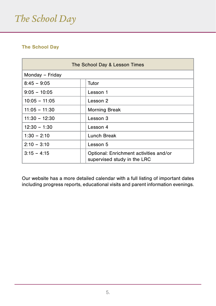# *The School Day*

#### **The School Day**

| The School Day & Lesson Times |                                                                       |  |  |  |
|-------------------------------|-----------------------------------------------------------------------|--|--|--|
| Monday - Friday               |                                                                       |  |  |  |
| $8:45 - 9:05$                 | Tutor                                                                 |  |  |  |
| $9:05 - 10:05$                | Lesson 1                                                              |  |  |  |
| $10:05 - 11:05$               | Lesson 2                                                              |  |  |  |
| $11:05 - 11:30$               | <b>Morning Break</b>                                                  |  |  |  |
| $11:30 - 12:30$               | Lesson 3                                                              |  |  |  |
| $12:30 - 1:30$                | Lesson 4                                                              |  |  |  |
| $1:30 - 2:10$                 | Lunch Break                                                           |  |  |  |
| $2:10 - 3:10$                 | Lesson 5                                                              |  |  |  |
| $3.15 - 4.15$                 | Optional: Enrichment activities and/or<br>supervised study in the LRC |  |  |  |

Our website has a more detailed calendar with a full listing of important dates including progress reports, educational visits and parent information evenings.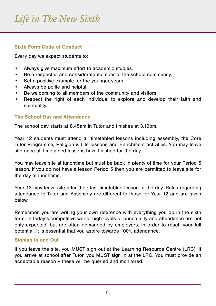### *Life in The New Sixth*

#### **Sixth Form Code of Conduct**

Every day we expect students to:

- • Always give maximum effort to academic studies.
- • Be a respectful and considerate member of the school community.
- Set a positive example for the younger years.
- • Always be polite and helpful.
- • Be welcoming to all members of the community and visitors.
- • Respect the right of each individual to explore and develop their faith and spirituality.

#### **The School Day and Attendance**

The school day starts at 8.45am in Tutor and finishes at 3.10pm.

Year 12 students must attend all timetabled lessons including assembly, the Core Tutor Programme, Religion & Life lessons and Enrichment activities. You may leave site once all timetabled lessons have finished for the day.

You may leave site at lunchtime but must be back in plenty of time for your Period 5 lesson. If you do not have a lesson Period 5 then you are permitted to leave site for the day at lunchtime.

Year 13 may leave site after their last timetabled lesson of the day. Rules regarding attendance to Tutor and Assembly are different to those for Year 12 and are given below.

Remember, you are writing your own reference with everything you do in the sixth form. In today's competitive world, high levels of punctuality and attendance are not only expected, but are often demanded by employers. In order to reach your full potential, it is essential that you aspire towards 100% attendance.

#### **Signing In and Out**

If you leave the site, you MUST sign out at the Learning Resource Centre (LRC). If you arrive at school after Tutor, you MUST sign in at the LRC. You must provide an acceptable reason – these will be queried and monitored.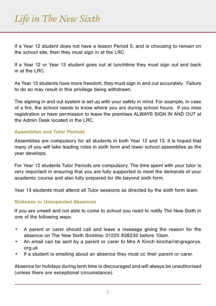If a Year 12 student does not have a lesson Period 5, and is choosing to remain on the school site, then they must sign in at the LRC.

If a Year 12 or Year 13 student goes out at lunchtime they must sign out and back in at the LRC.

As Year 13 students have more freedom, they must sign in and out accurately. Failure to do so may result in this privilege being withdrawn.

The signing in and out system is set up with your safety in mind. For example, in case of a fire, the school needs to know where you are during school hours. If you miss registration or have permission to leave the premises ALWAYS SIGN IN AND OUT at the Admin Desk located in the LRC.

#### **Assemblies and Tutor Periods**

Assemblies are compulsory for all students in both Year 12 and 13. It is hoped that many of you will take leading roles in sixth form and lower school assemblies as the year develops.

For Year 12 students Tutor Periods are compulsory. The time spent with your tutor is very important in ensuring that you are fully supported to meet the demands of your academic course and also fully prepared for life beyond sixth form.

Year 13 students must attend all Tutor sessions as directed by the sixth form team.

#### **Sickness or Unexpected Absences**

If you are unwell and not able to come to school you need to notify The New Sixth in one of the following ways:

- • A parent or carer should call and leave a message giving the reason for the absence on The New Sixth Sickline: 01225 838230 before 10am.
- An email can be sent by a parent or carer to Mrs A Kinch kincha@st-gregorys. org.uk
- If a student is emailing about an absence they must cc their parent or carer.

Absence for holidays during term time is discouraged and will always be unauthorised (unless there are exceptional circumstance).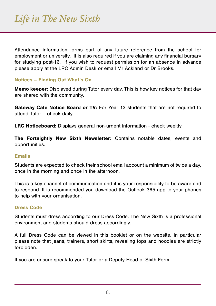Attendance information forms part of any future reference from the school for employment or university. It is also required if you are claiming any financial bursary for studying post-16. If you wish to request permission for an absence in advance please apply at the LRC Admin Desk or email Mr Ackland or Dr Brooks.

#### **Notices – Finding Out What's On**

**Memo keeper:** Displayed during Tutor every day. This is how key notices for that day are shared with the community.

**Gateway Café Notice Board or TV:** For Year 13 students that are not required to attend Tutor – check daily.

**LRC Noticeboard:** Displays general non-urgent information - check weekly.

**The Fortnightly New Sixth Newsletter:** Contains notable dates, events and opportunities.

#### **Emails**

Students are expected to check their school email account a minimum of twice a day, once in the morning and once in the afternoon.

This is a key channel of communication and it is your responsibility to be aware and to respond. It is recommended you download the Outlook 365 app to your phones to help with your organisation.

#### **Dress Code**

Students must dress according to our Dress Code. The New Sixth is a professional environment and students should dress accordingly.

A full Dress Code can be viewed in this booklet or on the website. In particular please note that jeans, trainers, short skirts, revealing tops and hoodies are strictly forbidden.

If you are unsure speak to your Tutor or a Deputy Head of Sixth Form.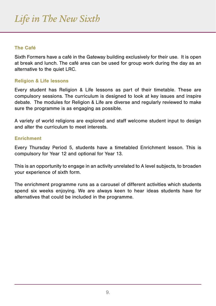#### **The Café**

Sixth Formers have a café in the Gateway building exclusively for their use. It is open at break and lunch. The café area can be used for group work during the day as an alternative to the quiet LRC.

#### **Religion & Life lessons**

Every student has Religion & Life lessons as part of their timetable. These are compulsory sessions. The curriculum is designed to look at key issues and inspire debate. The modules for Religion & Life are diverse and regularly reviewed to make sure the programme is as engaging as possible.

A variety of world religions are explored and staff welcome student input to design and alter the curriculum to meet interests.

#### **Enrichment**

Every Thursday Period 5, students have a timetabled Enrichment lesson. This is compulsory for Year 12 and optional for Year 13.

This is an opportunity to engage in an activity unrelated to A level subjects, to broaden your experience of sixth form.

The enrichment programme runs as a carousel of different activities which students spend six weeks enjoying. We are always keen to hear ideas students have for alternatives that could be included in the programme.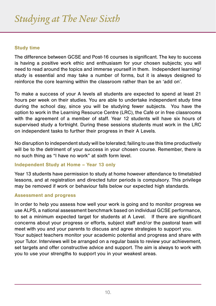#### **Study time**

The difference between GCSE and Post-16 courses is significant. The key to success is having a positive work ethic and enthusiasm for your chosen subjects; you will need to read around the topics and immerse yourself in them. Independent learning/ study is essential and may take a number of forms, but it is always designed to reinforce the core learning within the classroom rather than be an 'add on'.

To make a success of your A levels all students are expected to spend at least 21 hours per week on their studies. You are able to undertake independent study time during the school day, since you will be studying fewer subjects. You have the option to work in the Learning Resource Centre (LRC), the Café or in free classrooms with the agreement of a member of staff. Year 12 students will have six hours of supervised study a fortnight. During these sessions students must work in the LRC on independent tasks to further their progress in their A Levels.

No disruption to independent study will be tolerated; failing to use this time productively will be to the detriment of your success in your chosen course. Remember, there is no such thing as "I have no work" at sixth form level.

#### **Independent Study at Home – Year 13 only**

Year 13 students have permission to study at home however attendance to timetabled lessons, and at registration and directed tutor periods is compulsory. This privilege may be removed if work or behaviour falls below our expected high standards.

#### **Assessment and progress**

In order to help you assess how well your work is going and to monitor progress we use ALPS, a national assessment benchmark based on individual GCSE performance, to set a minimum expected target for students at A Level. If there are significant concerns about your progress or efforts, subject staff and/or the pastoral team will meet with you and your parents to discuss and agree strategies to support you. Your subject teachers monitor your academic potential and progress and share with your Tutor. Interviews will be arranged on a regular basis to review your achievement, set targets and offer constructive advice and support. The aim is always to work with you to use your strengths to support you in your weakest areas.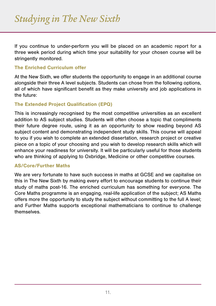If you continue to under-perform you will be placed on an academic report for a three week period during which time your suitability for your chosen course will be stringently monitored.

#### **The Enriched Curriculum offer**

At the New Sixth, we offer students the opportunity to engage in an additional course alongside their three A level subjects. Students can chose from the following options, all of which have significant benefit as they make university and job applications in the future:

#### **The Extended Project Qualification (EPQ)**

This is increasingly recognised by the most competitive universities as an excellent addition to AS subject studies. Students will often choose a topic that compliments their future degree route, using it as an opportunity to show reading beyond AS subject content and demonstrating independent study skills. This course will appeal to you if you wish to complete an extended dissertation, research project or creative piece on a topic of your choosing and you wish to develop research skills which will enhance your readiness for university. It will be particularly useful for those students who are thinking of applying to Oxbridge, Medicine or other competitive courses.

#### **AS/Core/Further Maths**

We are very fortunate to have such success in maths at GCSE and we capitalise on this in The New Sixth by making every effort to encourage students to continue their study of maths post-16. The enriched curriculum has something for everyone. The Core Maths programme is an engaging, real-life application of the subject; AS Maths offers more the opportunity to study the subject without committing to the full A level; and Further Maths supports exceptional mathematicians to continue to challenge themselves.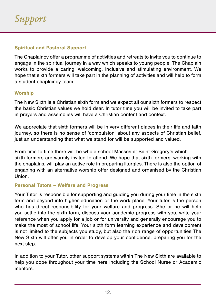#### **Spiritual and Pastoral Support**

The Chaplaincy offer a programme of activities and retreats to invite you to continue to engage in the spiritual journey in a way which speaks to young people. The Chaplain works to provide a caring, welcoming, inclusive and stimulating environment. We hope that sixth formers will take part in the planning of activities and will help to form a student chaplaincy team.

#### **Worship**

The New Sixth is a Christian sixth form and we expect all our sixth formers to respect the basic Christian values we hold dear. In tutor time you will be invited to take part in prayers and assemblies will have a Christian content and context.

We appreciate that sixth formers will be in very different places in their life and faith journey, so there is no sense of 'compulsion' about any aspects of Christian belief, just an understanding that what we stand for will be supported and valued.

From time to time there will be whole school Masses at Saint Gregory's which sixth formers are warmly invited to attend. We hope that sixth formers, working with the chaplains, will play an active role in preparing liturgies. There is also the option of engaging with an alternative worship offer designed and organised by the Christian Union.

#### **Personal Tutors – Welfare and Progress**

Your Tutor is responsible for supporting and guiding you during your time in the sixth form and beyond into higher education or the work place. Your tutor is the person who has direct responsibility for your welfare and progress. She or he will help you settle into the sixth form, discuss your academic progress with you, write your reference when you apply for a job or for university and generally encourage you to make the most of school life. Your sixth form learning experience and development is not limited to the subjects you study, but also the rich range of opportunities The New Sixth will offer you in order to develop your confidence, preparing you for the next step.

In addition to your Tutor, other support systems within The New Sixth are available to help you cope throughout your time here including the School Nurse or Academic mentors.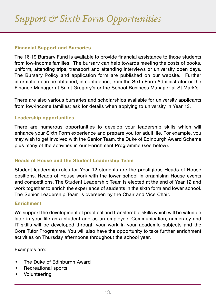#### **Financial Support and Bursaries**

The 16-19 Bursary Fund is available to provide financial assistance to those students from low-income families. The bursary can help towards meeting the costs of books, uniform, attending trips, transport and attending interviews or university open days. The Bursary Policy and application form are published on our website. Further information can be obtained, in confidence, from the Sixth Form Administrator or the Finance Manager at Saint Gregory's or the School Business Manager at St Mark's.

There are also various bursaries and scholarships available for university applicants from low-income families; ask for details when applying to university in Year 13.

#### **Leadership opportunities**

There are numerous opportunities to develop your leadership skills which will enhance your Sixth Form experience and prepare you for adult life. For example, you may wish to get involved with the Senior Team, the Duke of Edinburgh Award Scheme plus many of the activities in our Enrichment Programme (see below).

#### **Heads of House and the Student Leadership Team**

Student leadership roles for Year 12 students are the prestigious Heads of House positions. Heads of House work with the lower school in organising House events and competitions. The Student Leadership Team is elected at the end of Year 12 and work together to enrich the experience of students in the sixth form and lower school. The Senior Leadership Team is overseen by the Chair and Vice Chair.

#### **Enrichment**

We support the development of practical and transferable skills which will be valuable later in your life as a student and as an employee. Communication, numeracy and IT skills will be developed through your work in your academic subjects and the Core Tutor Programme. You will also have the opportunity to take further enrichment activities on Thursday afternoons throughout the school year.

Examples are:

- • The Duke of Edinburgh Award
- • Recreational sports
- • Volunteering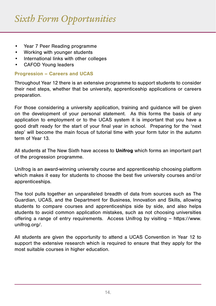# *Sixth Form Opportunities*

- Year 7 Peer Reading programme
- • Working with younger students
- • International links with other colleges
- • CAFOD Young leaders

#### **Progression – Careers and UCAS**

Throughout Year 12 there is an extensive programme to support students to consider their next steps, whether that be university, apprenticeship applications or careers preparation.

For those considering a university application, training and guidance will be given on the development of your personal statement. As this forms the basis of any application to employment or to the UCAS system it is important that you have a good draft ready for the start of your final year in school. Preparing for the 'next step' will become the main focus of tutorial time with your form tutor in the autumn term of Year 13.

All students at The New Sixth have access to **Unifrog** which forms an important part of the progression programme.

Unifrog is an award-winning university course and apprenticeship choosing platform which makes it easy for students to choose the best five university courses and/or apprenticeships.

The tool pulls together an unparalleled breadth of data from sources such as The Guardian, UCAS, and the Department for Business, Innovation and Skills, allowing students to compare courses and apprenticeships side by side, and also helps students to avoid common application mistakes, such as not choosing universities offering a range of entry requirements. Access Unifrog by visiting – https://www. unifrog.org/.

All students are given the opportunity to attend a UCAS Convention in Year 12 to support the extensive research which is required to ensure that they apply for the most suitable courses in higher education.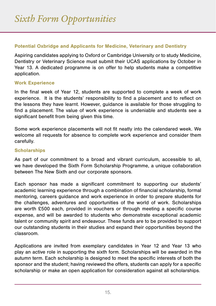#### **Potential Oxbridge and Applicants for Medicine, Veterinary and Dentistry**

Aspiring candidates applying to Oxford or Cambridge University or to study Medicine, Dentistry or Veterinary Science must submit their UCAS applications by October in Year 13. A dedicated programme is on offer to help students make a competitive application.

#### **Work Experience**

In the final week of Year 12, students are supported to complete a week of work experience. It is the students' responsibility to find a placement and to reflect on the lessons they have learnt. However, guidance is available for those struggling to find a placement. The value of work experience is undeniable and students see a significant benefit from being given this time.

Some work experience placements will not fit neatly into the calendared week. We welcome all requests for absence to complete work experience and consider them carefully.

#### **Scholarships**

As part of our commitment to a broad and vibrant curriculum, accessible to all, we have developed the Sixth Form Scholarship Programme, a unique collaboration between The New Sixth and our corporate sponsors.

Each sponsor has made a significant commitment to supporting our students' academic learning experience through a combination of financial scholarship, formal mentoring, careers guidance and work experience in order to prepare students for the challenges, adventures and opportunities of the world of work. Scholarships are worth £500 each, provided in vouchers or through meeting a specific course expense, and will be awarded to students who demonstrate exceptional academic talent or community spirit and endeavour. These funds are to be provided to support our outstanding students in their studies and expand their opportunities beyond the classroom.

Applications are invited from exemplary candidates in Year 12 and Year 13 who play an active role in supporting the sixth form. Scholarships will be awarded in the autumn term. Each scholarship is designed to meet the specific interests of both the sponsor and the student; having reviewed the offers, students can apply for a specific scholarship or make an open application for consideration against all scholarships.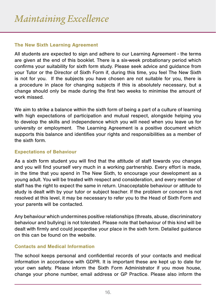#### **The New Sixth Learning Agreement**

All students are expected to sign and adhere to our Learning Agreement - the terms are given at the end of this booklet. There is a six-week probationary period which confirms your suitability for sixth form study. Please seek advice and guidance from your Tutor or the Director of Sixth Form if, during this time, you feel The New Sixth is not for you. If the subjects you have chosen are not suitable for you, there is a procedure in place for changing subjects if this is absolutely necessary, but a change should only be made during the first two weeks to minimise the amount of work missed.

We aim to strike a balance within the sixth form of being a part of a culture of learning with high expectations of participation and mutual respect, alongside helping you to develop the skills and independence which you will need when you leave us for university or employment. The Learning Agreement is a positive document which supports this balance and identifies your rights and responsibilities as a member of the sixth form.

#### **Expectations of Behaviour**

As a sixth form student you will find that the attitude of staff towards you changes and you will find yourself very much in a working partnership. Every effort is made, in the time that you spend in The New Sixth, to encourage your development as a young adult. You will be treated with respect and consideration, and every member of staff has the right to expect the same in return. Unacceptable behaviour or attitude to study is dealt with by your tutor or subject teacher. If the problem or concern is not resolved at this level, it may be necessary to refer you to the Head of Sixth Form and your parents will be contacted.

Any behaviour which undermines positive relationships (threats, abuse, discriminatory behaviour and bullying) is not tolerated. Please note that behaviour of this kind will be dealt with firmly and could jeopardise your place in the sixth form. Detailed guidance on this can be found on the website.

#### **Contacts and Medical Information**

The school keeps personal and confidential records of your contacts and medical information in accordance with GDPR. It is important these are kept up to date for your own safety. Please inform the Sixth Form Administrator if you move house, change your phone number, email address or GP Practice. Please also inform the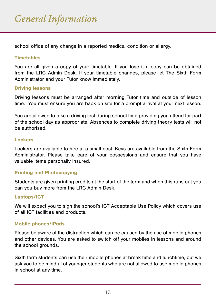school office of any change in a reported medical condition or allergy.

#### **Timetables**

You are all given a copy of your timetable. If you lose it a copy can be obtained from the LRC Admin Desk. If your timetable changes, please let The Sixth Form Administrator and your Tutor know immediately.

#### **Driving lessons**

Driving lessons must be arranged after morning Tutor time and outside of lesson time. You must ensure you are back on site for a prompt arrival at your next lesson.

You are allowed to take a driving test during school time providing you attend for part of the school day as appropriate. Absences to complete driving theory tests will not be authorised.

#### **Lockers**

Lockers are available to hire at a small cost. Keys are available from the Sixth Form Administrator. Please take care of your possessions and ensure that you have valuable items personally insured.

#### **Printing and Photocopying**

Students are given printing credits at the start of the term and when this runs out you can you buy more from the LRC Admin Desk.

#### **Laptops/ICT**

We will expect you to sign the school's ICT Acceptable Use Policy which covers use of all ICT facilities and products.

#### **Mobile phones/iPods**

Please be aware of the distraction which can be caused by the use of mobile phones and other devices. You are asked to switch off your mobiles in lessons and around the school grounds.

Sixth form students can use their mobile phones at break time and lunchtime, but we ask you to be mindful of younger students who are not allowed to use mobile phones in school at any time.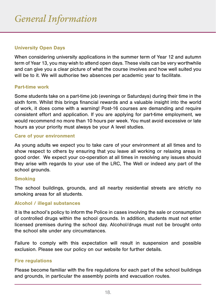#### **University Open Days**

When considering university applications in the summer term of Year 12 and autumn term of Year 13, you may wish to attend open days. These visits can be very worthwhile and can give you a clear picture of what the course involves and how well suited you will be to it. We will authorise two absences per academic year to facilitate.

#### **Part-time work**

Some students take on a part-time job (evenings or Saturdays) during their time in the sixth form. Whilst this brings financial rewards and a valuable insight into the world of work, it does come with a warning! Post-16 courses are demanding and require consistent effort and application. If you are applying for part-time employment, we would recommend no more than 10 hours per week. You must avoid excessive or late hours as your priority must always be your A level studies.

#### **Care of your environment**

As young adults we expect you to take care of your environment at all times and to show respect to others by ensuring that you leave all working or relaxing areas in good order. We expect your co-operation at all times in resolving any issues should they arise with regards to your use of the LRC, The Well or indeed any part of the school grounds.

#### **Smoking**

The school buildings, grounds, and all nearby residential streets are strictly no smoking areas for all students.

#### **Alcohol / illegal substances**

It is the school's policy to inform the Police in cases involving the sale or consumption of controlled drugs within the school grounds. In addition, students must not enter licensed premises during the school day. Alcohol/drugs must not be brought onto the school site under any circumstances.

Failure to comply with this expectation will result in suspension and possible exclusion. Please see our policy on our website for further details.

#### **Fire regulations**

Please become familiar with the fire regulations for each part of the school buildings and grounds, in particular the assembly points and evacuation routes.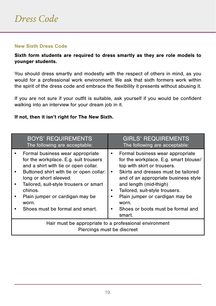#### **New Sixth Dress Code**

**Sixth form students are required to dress smartly as they are role models to younger students.** 

You should dress smartly and modestly with the respect of others in mind, as you would for a professional work environment. We ask that sixth formers work within the spirit of the dress code and embrace the flexibility it presents without abusing it.

If you are not sure if your outfit is suitable, ask yourself if you would be confident walking into an interview for your dream job in it.

#### **If not, then it isn't right for The New Sixth.**

|                                                                                      | <b>BOYS' REQUIREMENTS</b><br>The following are acceptable:                                                                                                                                                                                                                                                                 |  | <b>GIRLS' REQUIREMENTS</b><br>The following are acceptable:                                                                                                                                                                                                                                                                                    |  |
|--------------------------------------------------------------------------------------|----------------------------------------------------------------------------------------------------------------------------------------------------------------------------------------------------------------------------------------------------------------------------------------------------------------------------|--|------------------------------------------------------------------------------------------------------------------------------------------------------------------------------------------------------------------------------------------------------------------------------------------------------------------------------------------------|--|
|                                                                                      | Formal business wear appropriate<br>for the workplace. E.g. suit trousers<br>and a shirt with tie or open collar.<br>Buttoned shirt with tie or open collar:<br>long or short sleeved.<br>Tailored, suit-style trousers or smart<br>chinos.<br>Plain jumper or cardigan may be<br>worn.<br>Shoes must be formal and smart. |  | Formal business wear appropriate<br>for the workplace. E.g. smart blouse/<br>top with skirt or trousers.<br>Skirts and dresses must be tailored<br>and of an appropriate business style<br>and length (mid-thigh)<br>Tailored, suit-style trousers.<br>Plain jumper or cardigan may be<br>worn.<br>Shoes or boots must be formal and<br>smart. |  |
| Hair must be appropriate to a professional environment<br>Piercings must be discreet |                                                                                                                                                                                                                                                                                                                            |  |                                                                                                                                                                                                                                                                                                                                                |  |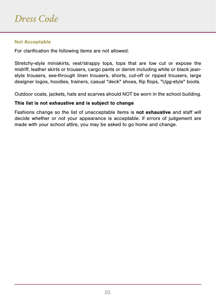#### **Not Acceptable**

For clarification the following items are not allowed:

Stretchy-style miniskirts, vest/strappy tops, tops that are low cut or expose the midriff, leather skirts or trousers, cargo pants or denim including white or black jeanstyle trousers, see-through linen trousers, shorts, cut-off or ripped trousers, large designer logos, hoodies, trainers, casual "deck" shoes, flip flops, "Ugg-style" boots.

Outdoor coats, jackets, hats and scarves should NOT be worn in the school building.

#### **This list is not exhaustive and is subject to change**

Fashions change so the list of unacceptable items is **not exhaustive** and staff will decide whether or not your appearance is acceptable. If errors of judgement are made with your school attire, you may be asked to go home and change.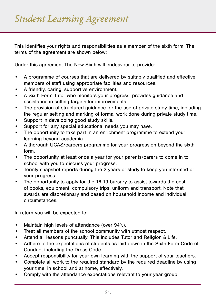This identifies your rights and responsibilities as a member of the sixth form. The terms of the agreement are shown below:

Under this agreement The New Sixth will endeavour to provide:

- • A programme of courses that are delivered by suitably qualified and effective members of staff using appropriate facilities and resources.
- A friendly, caring, supportive environment.
- • A Sixth Form Tutor who monitors your progress, provides guidance and assistance in setting targets for improvements.
- The provision of structured guidance for the use of private study time, including the regular setting and marking of formal work done during private study time.
- Support in developing good study skills.
- Support for any special educational needs you may have.
- The opportunity to take part in an enrichment programme to extend your learning beyond academia.
- • A thorough UCAS/careers programme for your progression beyond the sixth form.
- • The opportunity at least once a year for your parents/carers to come in to school with you to discuss your progress.
- • Termly snapshot reports during the 2 years of study to keep you informed of your progress.
- • The opportunity to apply for the 16-19 bursary to assist towards the cost of books, equipment, compulsory trips, uniform and transport. Note that awards are discretionary and based on household income and individual circumstances.

In return you will be expected to:

- Maintain high levels of attendance (over 94%).
- • Treat all members of the school community with utmost respect.
- • Attend all lessons punctually. This includes Tutor and Religion & Life.
- • Adhere to the expectations of students as laid down in the Sixth Form Code of Conduct including the Dress Code.
- • Accept responsibility for your own learning with the support of your teachers.
- • Complete all work to the required standard by the required deadline by using your time, in school and at home, effectively.
- • Comply with the attendance expectations relevant to your year group.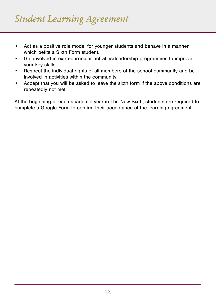- • Act as a positive role model for younger students and behave in a manner which befits a Sixth Form student.
- • Get involved in extra-curricular activities/leadership programmes to improve your key skills.
- • Respect the individual rights of all members of the school community and be involved in activities within the community.
- • Accept that you will be asked to leave the sixth form if the above conditions are repeatedly not met.

At the beginning of each academic year in The New Sixth, students are required to complete a Google Form to confirm their acceptance of the learning agreement.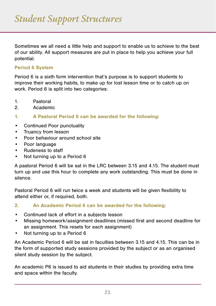Sometimes we all need a little help and support to enable us to achieve to the best of our ability. All support measures are put in place to help you achieve your full potential.

#### **Period 6 System**

Period 6 is a sixth form intervention that's purpose is to support students to improve their working habits, to make up for lost lesson time or to catch up on work. Period 6 is split into two categories:

- 1. Pastoral
- 2. Academic
- **1. A Pastoral Period 6 can be awarded for the following:**
- Continued Poor punctuality
- • Truancy from lesson
- Poor behaviour around school site
- • Poor language
- • Rudeness to staff
- Not turning up to a Period 6

A pastoral Period 6 will be sat in the LRC between 3.15 and 4.15. The student must turn up and use this hour to complete any work outstanding. This must be done in silence.

Pastoral Period 6 will run twice a week and students will be given flexibility to attend either or, if required, both.

#### **2. An Academic Period 6 can be awarded for the following:**

- • Continued lack of effort in a subjects lesson
- • Missing homework/assignment deadlines (missed first and second deadline for an assignment. This resets for each assignment)
- Not turning up to a Period 6

An Academic Period 6 will be sat in faculties between 3.15 and 4.15. This can be in the form of supported study sessions provided by the subject or as an organised silent study session by the subject.

An academic P6 is issued to aid students in their studies by providing extra time and space within the faculty.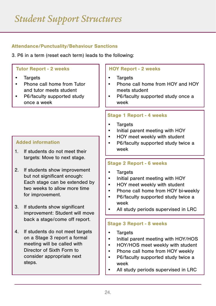# *Student Support Structures*

#### **Attendance/Punctuality/Behaviour Sanctions**

3. P6 in a term (reset each term) leads to the following:

#### **Tutor Report - 2 weeks**

- **Targets**
- • Phone call home from Tutor and tutor meets student
- P6/faculty supported study once a week

#### **Added information**

- 1. If students do not meet their targets: Move to next stage.
- 2. If students show improvement but not significant enough: Each stage can be extended by two weeks to allow more time for improvement.
- 3. If students show significant improvement: Student will move back a stage/come off report.
- 4. If students do not meet targets on a Stage 3 report a formal meeting will be called with Director of Sixth Form to consider appropriate next steps.

#### **HOY Report - 2 weeks**

- **Targets**
- Phone call home from HOY and HOY meets student
- P6/faculty supported study once a week

#### **Stage 1 Report - 4 weeks**

- **Targets**
- Initial parent meeting with HOY
- HOY meet weekly with student
- P6/faculty supported study twice a week

#### **Stage 2 Report - 6 weeks**

- **Targets**
- Initial parent meeting with HOY
- HOY meet weekly with student
- • Phone call home from HOY bi-weekly
- P6/faculty supported study twice a week
- All study periods supervised in LRC

#### **Stage 3 Report - 8 weeks**

- **Targets**
- Initial parent meeting with HOY/HOS
- HOY/HOS meet weekly with student
- Phone call home from HOY weekly
- P6/faculty supported study twice a week
- All study periods supervised in LRC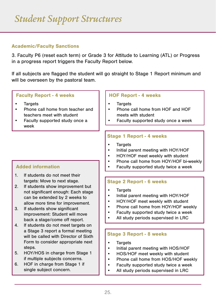#### **Academic/Faculty Sanctions**

3. Faculty P6 (reset each term) or Grade 3 for Attitude to Learning (ATL) or Progress in a progress report triggers the Faculty Report below.

If all subjects are flagged the student will go straight to Stage 1 Report minimum and will be overseen by the pastoral team.

#### **Faculty Report - 4 weeks**

- Targets
- Phone call home from teacher and teachers meet with student
- Faculty supported study once a week

#### **HOF Report - 4 weeks**

- **Targets**
- Phone call home from HOF and HOF meets with student
- Faculty supported study once a week

#### **Stage 1 Report - 4 weeks**

- Targets
- Initial parent meeting with HOY/HOF
- HOY/HOF meet weekly with student
- Phone call home from HOY/HOF bi-weekly
- Faculty supported study twice a week

#### **Stage 2 Report - 6 weeks**

- • Targets
- Initial parent meeting with HOY/HOF
- HOY/HOF meet weekly with student
- Phone call home from HOY/HOF weekly
- Faculty supported study twice a week
- All study periods supervised in LRC

#### **Stage 3 Report - 8 weeks**

- **Targets**
- Initial parent meeting with HOS/HOF
- HOS/HOF meet weekly with student
- Phone call home from HOS/HOF weekly
- Faculty supported study twice a week
- All study periods supervised in LRC

#### **Added information**

- 1. If students do not meet their targets: Move to next stage.
- 2. If students show improvement but not significant enough: Each stage can be extended by 2 weeks to allow more time for improvement.
- 3. If students show significant improvement: Student will move back a stage/come off report.
- 4. If students do not meet targets on a Stage 3 report a formal meeting will be called with Director of Sixth Form to consider appropriate next steps.
- 5. HOY/HOS in charge from Stage 1 if multiple subjects concerns.
- 6. HOF in charge from Stage 1 if single subject concern.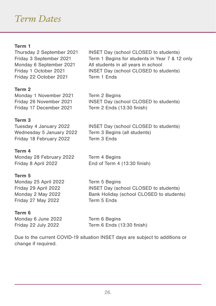### *Term Dates*

#### **Term 1**

Friday 22 October 2021 Term 1 Ends

#### **Term 2**

Monday 1 November 2021 Term 2 Begins

#### **Term 3**

Tuesday 4 January 2022 INSET Day (school CLOSED to students) Wednesday 5 January 2022 Term 3 Begins (all students) Friday 18 February 2022 Term 3 Ends

#### **Term 4**

Monday 28 February 2022 Term 4 Begins Friday 8 April 2022 End of Term 4 (13:30 finish)

#### **Term 5**

Monday 25 April 2022 Term 5 Begins Friday 27 May 2022 Term 5 Ends

Friday 29 April 2022 INSET Day (school CLOSED to students) Monday 2 May 2022 Bank Holiday (school CLOSED to students)

#### **Term 6**

Monday 6 June 2022 Term 6 Begins

Friday 22 July 2022 Term 6 Ends (13:30 finish)

Due to the current COVID-19 situation INSET days are subject to additions or change if required.

Thursday 2 September 2021 INSET Day (school CLOSED to students) Friday 3 September 2021 Term 1 Begins for students in Year 7 & 12 only Monday 6 September 2021 All students in all years in school Friday 1 October 2021 INSET Day (school CLOSED to students)

Friday 26 November 2021 INSET Day (school CLOSED to students)

Friday 17 December 2021 Term 2 Ends (13:30 finish)